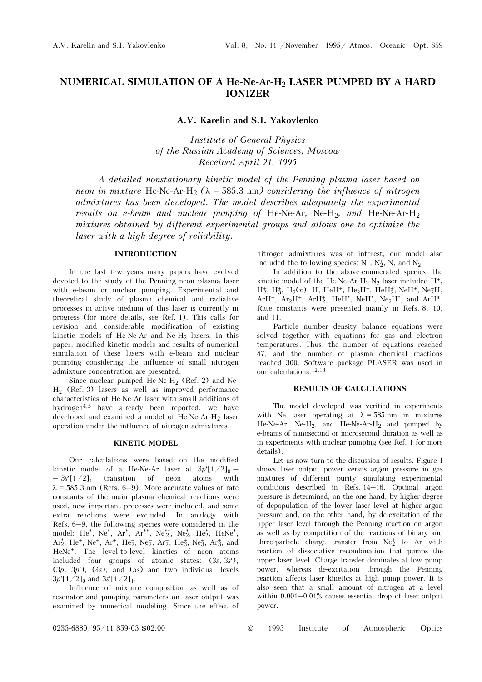# **NUMERICAL SIMULATION OF A He-Ne-Ar-H2 LASER PUMPED BY A HARD IONIZER**

**A.V. Karelin and S.I. Yakovlenko**

*Institute of General Physics of the Russian Academy of Sciences, Moscow Received April 21, 1995*

*A detailed nonstationary kinetic model of the Penning plasma laser based on neon in mixture* He-Ne-Ar-H<sub>2</sub>  $(\lambda = 585.3 \text{ nm})$  *considering the influence of nitrogen admixtures has been developed. The model describes adequately the experimental results on e-beam and nuclear pumping of* He-Ne-Ar*,* Ne-H2*, and* He-Ne-Ar-H2 *mixtures obtained by different experimental groups and allows one to optimize the laser with a high degree of reliability.* 

## **INTRODUCTION**

In the last few years many papers have evolved devoted to the study of the Penning neon plasma laser with e-beam or nuclear pumping. Experimental and theoretical study of plasma chemical and radiative processes in active medium of this laser is currently in progress (for more details, see Ref. 1). This calls for revision and considerable modification of existing kinetic models of He-Ne-Ar and Ne-H<sub>2</sub> lasers. In this paper, modified kinetic models and results of numerical simulation of these lasers with e-beam and nuclear pumping considering the influence of small nitrogen admixture concentration are presented.

Since nuclear pumped He-Ne-H<sub>2</sub> (Ref. 2) and Ne- $H<sub>2</sub>$  (Ref. 3) lasers as well as improved performance characteristics of He-Ne-Ar laser with small additions of hydrogen4,5 have already been reported, we have developed and examined a model of He-Ne-Ar-H<sub>2</sub> laser operation under the influence of nitrogen admixtures.

## **KINETIC MODEL**

Our calculations were based on the modified kinetic model of a He-Ne-Ar laser at  $3p'[1/2]_0 - 3s'[1/2]_1$  transition of neon atoms with transition of neon atoms with  $\lambda$  = 585.3 nm (Refs. 6–9). More accurate values of rate constants of the main plasma chemical reactions were used, new important processes were included, and some extra reactions were excluded. In analogy with Refs. 6–9, the following species were considered in the model: He<sup>\*</sup>, Ne<sup>\*</sup>, Ar<sup>\*</sup>, Ar<sup>\*\*</sup>, Ne<sup>\*</sup><sub>2</sub>, Ne<sup>\*</sup><sub>2</sub>, He<sup>\*</sup><sub>2</sub>, HeNe<sup>\*</sup>,  $Ar_2^*$ , He<sup>+</sup>, Ne<sup>+</sup>, Ar<sup>+</sup>, He<sub>2</sub><sup>†</sup>, Ne<sub>2</sub><sup>†</sup>, Ar<sub>2</sub><sup>†</sup>, He<sub>3</sub><sup>†</sup>, Ne<sub>3</sub><sup>†</sup>, Ar<sub>3</sub><sup>†</sup>, and HeNe+. The level-to-level kinetics of neon atoms included four groups of atomic states: (3*s*, 3*s*′), (3*p*, 3*p*′), (4*s*), and (5*s*) and two individual levels  $3p'[1/2]_0$  and  $3s'[1/2]_1$ .

Influence of mixture composition as well as of resonator and pumping parameters on laser output was examined by numerical modeling. Since the effect of nitrogen admixtures was of interest, our model also included the following species:  $N^+$ ,  $N^+$ , N, and  $N_2$ .

In addition to the above-enumerated species, the kinetic model of the He-Ne-Ar-H<sub>2</sub>-N<sub>2</sub> laser included H<sup>+</sup>,  $H_2^+$ ,  $H_3^+$ ,  $H_2(v)$ , H, HeH<sup>+</sup>, He<sub>2</sub>H<sup>+</sup>, HeH<sub>2</sub><sup>+</sup>, NeH<sup>+</sup>, Ne<sub>2</sub>H, ArH<sup>+</sup>, Ar<sub>2</sub>H<sup>+</sup>, ArH<sub>2</sub><sup>+</sup>, HeH<sup>\*</sup>, NeH<sup>\*</sup>, Ne<sub>2</sub>H<sup>\*</sup>, and ArH<sup>\*</sup>. Rate constants were presented mainly in Refs. 8, 10, and 11.

Particle number density balance equations were solved together with equations for gas and electron temperatures. Thus, the number of equations reached 47, and the number of plasma chemical reactions reached 300. Software package PLASER was used in our calculations.12,13

## **RESULTS OF CALCULATIONS**

The model developed was verified in experiments with Ne laser operating at  $\lambda = 585$  nm in mixtures He-Ne-Ar, Ne-H<sub>2</sub>, and He-Ne-Ar-H<sub>2</sub> and pumped by e-beams of nanosecond or microsecond duration as well as in experiments with nuclear pumping (see Ref. 1 for more details).

Let us now turn to the discussion of results. Figure 1 shows laser output power versus argon pressure in gas mixtures of different purity simulating experimental conditions described in Refs. 14–16. Optimal argon pressure is determined, on the one hand, by higher degree of depopulation of the lower laser level at higher argon pressure and, on the other hand, by de-excitation of the upper laser level through the Penning reaction on argon as well as by competition of the reactions of binary and three-particle charge transfer from  $Ne<sub>2</sub>^+$  to Ar with reaction of dissociative recombination that pumps the upper laser level. Charge transfer dominates at low pump power, whereas de-excitation through the Penning reaction affects laser kinetics at high pump power. It is also seen that a small amount of nitrogen at a level within 0.001–0.01% causes essential drop of laser output power.

0235-6880/95/11 859-05 \$02.00 © 1995 Institute of Atmospheric Optics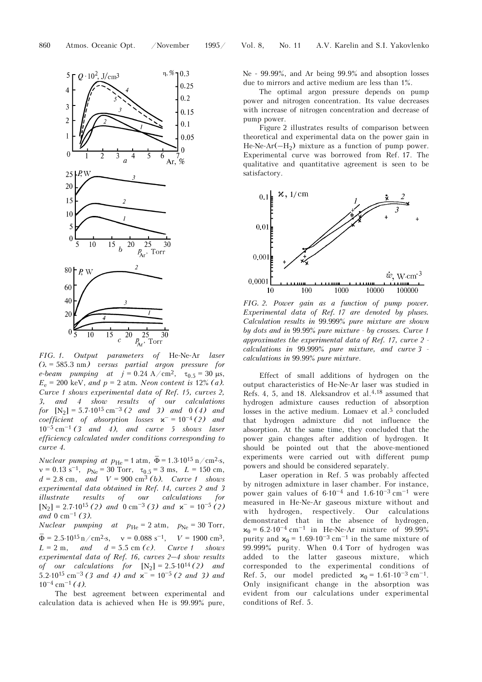

*FIG. 1. Output parameters of* He-Ne-Ar *laser (*λ = 585.3 nm*) versus partial argon pressure for e*-*beam pumping at*  $j = 0.24 \text{ A/cm}^2$ ,  $\tau_{0.5} = 30 \text{ }\mu\text{s}$ ,  $E_e = 200 \text{ keV}$ , *and*  $p = 2 \text{ atm}$ *. Neon content is* 12% *(a)*. *Curve 1 shows experimental data of Ref. 15, curves 2, 3, and 4 show results of our calculations for*  $[N_2] = 5.7 \cdot 10^{15} \text{ cm}^{-3}$  (2 and 3) and 0(4) and *coefficient of absorption losses*  $\mathbf{x}^- = 10^{-4}$  *(2) and* 10–5 cm–<sup>1</sup> *(3 and 4), and curve 5 shows laser efficiency calculated under conditions corresponding to curve 4.* 

*Nuclear pumping at*  $p_{\text{He}} = 1 \text{ atm}, \overline{\Phi} = 1.3 \cdot 10^{15} \text{ n/cm}^2 \cdot \text{s},$  $v = 0.13$  s<sup>-1</sup>,  $p_{Ne} = 30$  Torr,  $\tau_{0.5} = 3$  ms,  $L = 150$  cm,  $d = 2.8$  cm, *and*  $V = 900 \text{ cm}^3$  *(b). Curve 1 shows experimental data obtained in Ref. 14, curves 2 and 3 illustrate results of our calculations for*  $[N_2] = 2.7 \cdot 10^{15}$  (2) and  $0 \text{ cm}^{-3}$  (3) and  $\kappa^- = 10^{-5}$  (2) *and* 0 cm–1 *(3).*

*Nuclear pumping at*  $p_{\text{He}} = 2 \text{ atm}, p_{\text{Ne}} = 30 \text{ Torr},$  $\overline{\Phi} = 2.5 \cdot 10^{15} \text{ n/cm}^2 \cdot \text{s}, \quad v = 0.088 \text{ s}^{-1}, \quad V = 1900 \text{ cm}^3,$  $L = 2$  m, and  $d = 5.5$  cm (c). Curve 1 shows *experimental data of Ref. 16, curves 2–4 show results of our calculations for*  $[N_2] = 2.5 \cdot 10^{14} (2)$  *and* 5.2⋅10<sup>15</sup> cm<sup>-3</sup> (3 and 4) and  $x^-$  = 10<sup>-5</sup> (2 and 3) and  $10^{-4}$  cm<sup>-1</sup> (4).

The best agreement between experimental and calculation data is achieved when He is 99.99% pure, Ne - 99.99%, and Ar being 99.9% and absoption losses due to mirrors and active medium are less than 1%.

The optimal argon pressure depends on pump power and nitrogen concentration. Its value decreases with increase of nitrogen concentration and decrease of pump power.

Figure 2 illustrates results of comparison between theoretical and experimental data on the power gain in He-Ne-Ar( $-H_2$ ) mixture as a function of pump power. Experimental curve was borrowed from Ref. 17. The qualitative and quantitative agreement is seen to be satisfactory.



*FIG. 2. Power gain as a function of pump power. Experimental data of Ref. 17 are denoted by pluses. Calculation results in* 99.999% *pure mixture are shown by dots and in* 99.99% *pure mixture - by crosses. Curve 1 approximates the experimental data of Ref. 17, curve 2 calculations in* 99.999% *pure mixture, and curve 3 calculations in* 99.99% *pure mixture*.

Effect of small additions of hydrogen on the output characteristics of He-Ne-Ar laser was studied in Refs. 4, 5, and 18. Aleksandrov et al.4,18 assumed that hydrogen admixture causes reduction of absorption losses in the active medium. Lomaev et al.<sup>5</sup> concluded that hydrogen admixture did not influence the absorption. At the same time, they concluded that the power gain changes after addition of hydrogen. It should be pointed out that the above-mentioned experiments were carried out with different pump powers and should be considered separately.

Laser operation in Ref. 5 was probably affected by nitrogen admixture in laser chamber. For instance, power gain values of  $6.10^{-4}$  and  $1.6 \cdot 10^{-3}$  cm<sup>-1</sup> were measured in He-Ne-Ar gaseous mixture without and with hydrogen, respectively. Our calculations demonstrated that in the absence of hydrogen,  $x_0 = 6.2.10^{-4}$  cm<sup>-1</sup> in He-Ne-Ar mixture of 99.99% purity and  $x_0 = 1.69 \cdot 10^{-3}$  cm<sup>-1</sup> in the same mixture of 99.999% purity. When 0.4 Torr of hydrogen was added to the latter gaseous mixture, which corresponded to the experimental conditions of Ref. 5, our model predicted  $x_0 = 1.61 \cdot 10^{-3}$  cm<sup>-1</sup>. Only insignificant change in the absorption was evident from our calculations under experimental conditions of Ref. 5.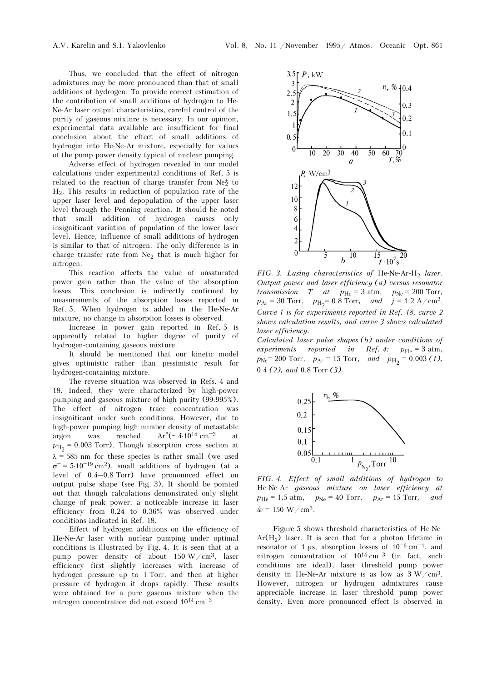Thus, we concluded that the effect of nitrogen admixtures may be more pronounced than that of small additions of hydrogen. To provide correct estimation of the contribution of small additions of hydrogen to He-Ne-Ar laser output characteristics, careful control of the purity of gaseous mixture is necessary. In our opinion, experimental data available are insufficient for final conclusion about the effect of small additions of hydrogen into He-Ne-Ar mixture, especially for values of the pump power density typical of nuclear pumping.

Adverse effect of hydrogen revealed in our model calculations under experimental conditions of Ref. 5 is related to the reaction of charge transfer from  $Ne^{\pm}_2$  to  $H<sub>2</sub>$ . This results in reduction of population rate of the upper laser level and depopulation of the upper laser level through the Penning reaction. It should be noted that small addition of hydrogen causes only insignificant variation of population of the lower laser level. Hence, influence of small additions of hydrogen is similar to that of nitrogen. The only difference is in charge transfer rate from  $Ne<sub>2</sub>^+$  that is much higher for nitrogen.

This reaction affects the value of unsaturated power gain rather than the value of the absorption losses. This conclusion is indirectly confirmed by measurements of the absorption losses reported in Ref. 5. When hydrogen is added in the He-Ne-Ar mixture, no change in absorption losses is observed.

Increase in power gain reported in Ref. 5 is apparently related to higher degree of purity of hydrogen-containing gaseous mixture.

It should be mentioned that our kinetic model gives optimistic rather than pessimistic result for hydrogen-containing mixture.

The reverse situation was observed in Refs. 4 and 18. Indeed, they were characterized by high-power pumping and gaseous mixture of high purity (99.995%). The effect of nitrogen trace concentration was insignificant under such conditions. However, due to high-power pumping high number density of metastable argon was reached  $Ar^*(-4.10^{14} \text{ cm}^{-3}$  at  $p_{\rm H_2}$  = 0.003 Torr). Though absorption cross section at  $\lambda = 585$  nm for these species is rather small (we used  $\sigma$ <sup>-</sup> = 5.10<sup>-19</sup> cm<sup>2</sup>), small additions of hydrogen (at a level of 0.4–0.8 Torr) have pronounced effect on output pulse shape (see Fig. 3). It should be pointed out that though calculations demonstrated only slight change of peak power, a noticeable increase in laser efficiency from 0.24 to 0.36% was observed under conditions indicated in Ref. 18.

Effect of hydrogen additions on the efficiency of He-Ne-Ar laser with nuclear pumping under optimal conditions is illustrated by Fig. 4. It is seen that at a pump power density of about 150  $W/cm^3$ , laser efficiency first slightly increases with increase of hydrogen pressure up to 1 Torr, and then at higher pressure of hydrogen it drops rapidly. These results were obtained for a pure gaseous mixture when the nitrogen concentration did not exceed 1014 cm–3.



*FIG. 3. Lasing characteristics of He-Ne-Ar-H<sub>2</sub> laser. Output power and laser efficiency (a) versus resonator transmission T at*  $p_{\text{He}} = 3 \text{ atm}, p_{\text{Ne}} = 200 \text{ Torr},$  $p_{\text{Ar}} = 30 \text{ Torr}, \quad p_{\text{H}_2} = 0.8 \text{ Torr}, \quad \text{and} \quad j = 1.2 \text{ A/cm}^2.$ *Curve 1 is for experiments reported in Ref. 18, curve 2 shows calculation results, and curve 3 shows calculated laser efficiency.* 

*Calculated laser pulse shapes (b) under conditions of experiments reported in Ref. 4:*  $p_{\text{He}} = 3 \text{ atm}$ ,  $p_{\text{Ne}}$  = 200 Torr,  $p_{\text{Ar}}$  = 15 Torr, *and*  $p_{\text{H}_2}$  = 0.003 *(1)*, 0.4 *(2), and* 0.8 Torr *(3).*



*FIG. 4. Effect of small additions of hydrogen to*  He-Ne-Ar *gaseous mixture on laser efficiency at*   $p_{\text{He}} = 1.5 \text{ atm}, \quad p_{\text{Ne}} = 40 \text{ Torr}, \quad p_{\text{Ar}} = 15 \text{ Torr}, \quad and$  $\dot{w} = 150 \text{ W}/\text{cm}^3$ .

Figure 5 shows threshold characteristics of He-Ne-Ar( $H<sub>2</sub>$ ) laser. It is seen that for a photon lifetime in resonator of 1 μs, absorption losses of  $10^{-6}$  cm<sup>-1</sup>, and nitrogen concentration of  $10^{14}$  cm<sup>-3</sup> (in fact, such conditions are ideal), laser threshold pump power density in He-Ne-Ar mixture is as low as  $3 W/cm<sup>3</sup>$ . However, nitrogen or hydrogen admixtures cause appreciable increase in laser threshold pump power density. Even more pronounced effect is observed in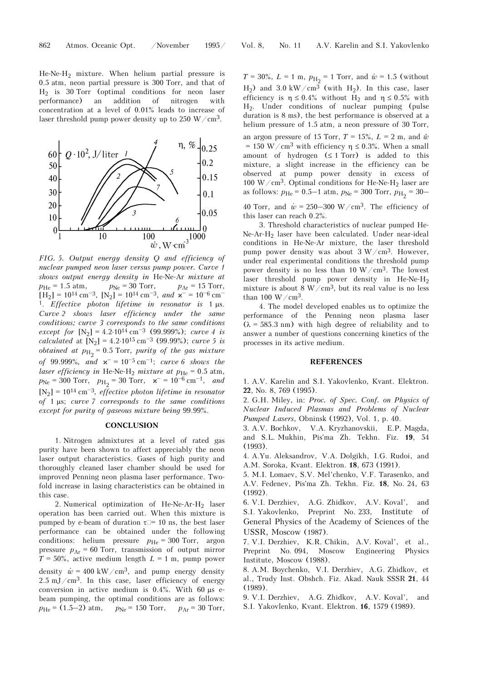He-Ne-H2 mixture. When helium partial pressure is 0.5 atm, neon partial pressure is 300 Torr, and that of H2 is 30 Torr (optimal conditions for neon laser performance) an addition of nitrogen with concentration at a level of 0.01% leads to increase of laser threshold pump power density up to 250 W/cm<sup>3</sup>.



*nuclear pumped neon laser versus pump power. Curve 1 shows output energy density in* He-Ne-Ar *mixture at*   $p_{\text{He}} = 1.5 \text{ atm}, \qquad p_{\text{Ne}} = 30 \text{ Torr}, \qquad p_{\text{Ar}} = 15 \text{ Torr},$  $[H_2] = 10^{14} \text{ cm}^{-3}$ ,  $[N_2] = 10^{14} \text{ cm}^{-3}$ , and  $\kappa^- = 10^{-6} \text{ cm}^{-1}$ 1. *Effective photon lifetime in resonator is* 1 μs. *Curve 2 shows laser efficiency under the same conditions; curve 3 corresponds to the same conditions except for*  $[N_2] = 4.2 \cdot 10^{14}$  cm<sup>-3</sup> (99.999%); *curve 4 is calculated* at  $[N_2] = 4.2 \cdot 10^{15}$  cm<sup>-3</sup> (99.99%); *curve* 5 is *obtained at*  $p_{\text{H}_2}$  = 0.5 Torr, *purity of the gas mixture of* 99.999%, and  $x^- = 10^{-5}$  cm<sup>-1</sup>; *curve 6 shows the laser efficiency in* He-Ne-H<sub>2</sub> *mixture at*  $p_{\text{He}} = 0.5$  atm,  $p_{\text{Ne}} = 300 \text{ Torr}, \quad p_{\text{H}_2} = 30 \text{ Torr}, \quad \varkappa^- = 10^{-6} \text{ cm}^{-1}, \quad \text{and}$  $[N_2] = 10^{14}$  cm<sup>-3</sup>, effective photon lifetime in resonator *of* 1 μs; *curve 7 corresponds to the same conditions except for purity of gaseous mixture being* 99.99%.

## **CONCLUSION**

1. Nitrogen admixtures at a level of rated gas purity have been shown to affect appreciably the neon laser output characteristics. Gases of high purity and thoroughly cleaned laser chamber should be used for improved Penning neon plasma laser performance. Twofold increase in lasing characteristics can be obtained in this case.

2. Numerical optimization of He-Ne-Ar-H<sub>2</sub> laser operation has been carried out. When this mixture is pumped by e-beam of duration  $\tau$  = 10 ns, the best laser performance can be obtained under the following conditions: helium pressure  $p_{\text{He}} = 300$  Torr, argon pressure  $p_{Ar}$  = 60 Torr, transmission of output mirror  $T = 50\%$ , active medium length  $L = 1$  m, pump power density  $\dot{\mathbf{w}} = 400 \text{ kW/cm}^3$ , and pump energy density  $2.5 \text{ mJ/cm}^3$ . In this case, laser efficiency of energy conversion in active medium is  $0.4\%$ . With 60 μs ebeam pumping, the optimal conditions are as follows:  $p_{\text{He}} = (1.5-2) \text{ atm}, \quad p_{\text{Ne}} = 150 \text{ Torr}, \quad p_{\text{Ar}} = 30 \text{ Torr},$ 

 $T = 30\%, L = 1 \text{ m}, p_{\text{H}_2} = 1 \text{ Torr}, \text{ and } \dot{\textit{w}} = 1.5 \text{ (without)}$ H<sub>2</sub>) and 3.0 kW/cm<sup>3</sup> (with H<sub>2</sub>). In this case, laser efficiency is  $\eta \le 0.4\%$  without H<sub>2</sub> and  $\eta \le 0.5\%$  with H2. Under conditions of nuclear pumping (pulse duration is 8 ms), the best performance is observed at a helium pressure of 1.5 atm, a neon pressure of 30 Torr, an argon pressure of 15 Torr,  $T = 15\%$ ,  $L = 2$  m, and  $\dot{\alpha}$ = 150 W/cm<sup>3</sup> with efficiency  $\eta \le 0.3$ %. When a small amount of hydrogen  $(≤ 1 Torr)$  is added to this mixture, a slight increase in the efficiency can be observed at pump power density in excess of 100 W/cm<sup>3</sup>. Optimal conditions for He-Ne-H<sub>2</sub> laser are as follows:  $p_{\text{He}} = 0.5{-}1$  atm,  $p_{\text{Ne}} = 300$  Torr,  $p_{\text{H}_2} = 30{-}$ 

40 Torr, and  $\dot{\mathbf{w}} = 250 - 300 \text{ W}/\text{cm}^3$ . The efficiency of this laser can reach 0.2%.

3. Threshold characteristics of nuclear pumped He-Ne-Ar-H2 laser have been calculated. Under near-ideal conditions in He-Ne-Ar mixture, the laser threshold pump power density was about  $3 W/cm^3$ . However, under real experimental conditions the threshold pump power density is no less than 10  $W/cm^3$ . The lowest laser threshold pump power density in He-Ne-H2 mixture is about 8 W/cm<sup>3</sup>, but its real value is no less than 100  $W/cm<sup>3</sup>$ .

4. The model developed enables us to optimize the performance of the Penning neon plasma laser  $(\lambda = 585.3 \text{ nm})$  with high degree of reliability and to answer a number of questions concerning kinetics of the processes in its active medium.

#### **REFERENCES**

1. A.V. Karelin and S.I. Yakovlenko, Kvant. Elektron. **22**, No. 8, 769 (1995).

2. G.H. Miley, in: *Proc. of Spec. Conf. on Physics of Nuclear Induced Plasmas and Problems of Nuclear Pumped Lasers*, Obninsk (1992), Vol. 1, p. 40.

3. A.V. Bochkov, V.A. Kryzhanovskii, E.P. Magda, and S.L. Mukhin, Pis'ma Zh. Tekhn. Fiz. **19**, 54 (1993).

4. A.Yu. Aleksandrov, V.A. Dolgikh, I.G. Rudoi, and A.M. Soroka, Kvant. Elektron. **18**, 673 (1991).

5. M.I. Lomaev, S.V. Mel'chenko, V.F. Tarasenko, and A.V. Fedenev, Pis'ma Zh. Tekhn. Fiz. **18**, No. 24, 63 (1992).

6. V.I. Derzhiev, A.G. Zhidkov, A.V. Koval', and S.I. Yakovlenko, Preprint No. 233, Institute of General Physics of the Academy of Sciences of the USSR, Moscow (1987).

7. V.I. Derzhiev, K.R. Chikin, A.V. Koval', et al., Preprint No. 094, Moscow Engineering Physics Institute, Moscow (1988).

8. A.M. Boychenko, V.I. Derzhiev, A.G. Zhidkov, et al., Trudy Inst. Obshch. Fiz. Akad. Nauk SSSR **21**, 44 (1989).

9. V.I. Derzhiev, A.G. Zhidkov, A.V. Koval', and S.I. Yakovlenko, Kvant. Elektron. **16**, 1579 (1989).